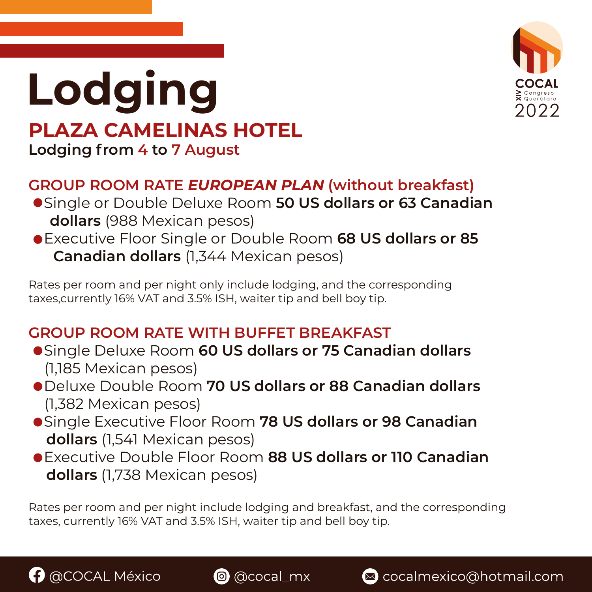

## **Lodging PLAZA CAMELINAS HOTEL Lodging from 4 to 7 August**

#### **GROUP ROOM RATE** *EUROPEAN PLAN* **(without breakfast)** Single or Double Deluxe Room **50 US dollars or 63 Canadian dollars** (988 Mexican pesos)

#### Executive Floor Single or Double Room **68 US dollars or 85 Canadian dollars** (1,344 Mexican pesos)

Rates per room and per night only include lodging, and the corresponding taxes,currently 16% VAT and 3.5% ISH, waiter tip and bell boy tip.

#### **GROUP ROOM RATE WITH BUFFET BREAKFAST**

- Single Deluxe Room **60 US dollars or 75 Canadian dollars**  (1,185 Mexican pesos)
- Deluxe Double Room **70 US dollars or 88 Canadian dollars**  (1,382 Mexican pesos)
- Single Executive Floor Room **78 US dollars or 98 Canadian dollars** (1,541 Mexican pesos)

#### Executive Double Floor Room **88 US dollars or 110 Canadian dollars** (1,738 Mexican pesos)

Rates per room and per night include lodging and breakfast, and the corresponding taxes, currently 16% VAT and 3.5% ISH, waiter tip and bell boy tip.





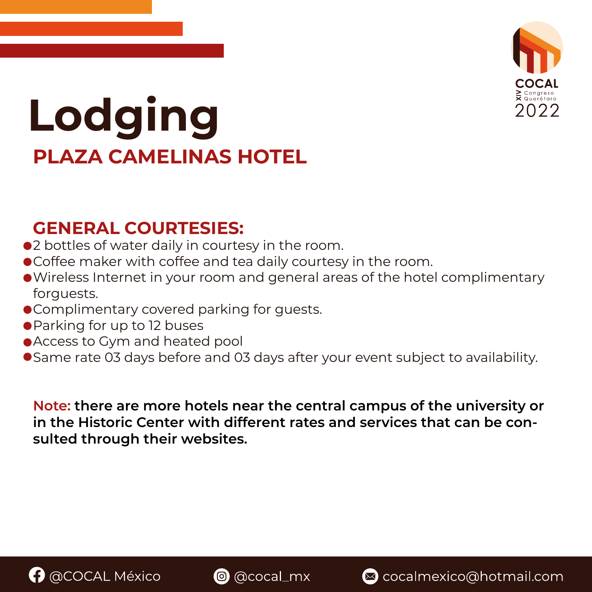

# **Lodging PLAZA CAMELINAS HOTEL**

### **GENERAL COURTESIES:**

- 2 bottles of water daily in courtesy in the room.
- Coffee maker with coffee and tea daily courtesy in the room.
- Wireless Internet in your room and general areas of the hotel complimentary forguests.
- Complimentary covered parking for guests.
- Parking for up to 12 buses
- Access to Gym and heated pool
- Same rate 03 days before and 03 days after your event subject to availability.

**Note: there are more hotels near the central campus of the university or in the Historic Center with different rates and services that can be consulted through their websites.**